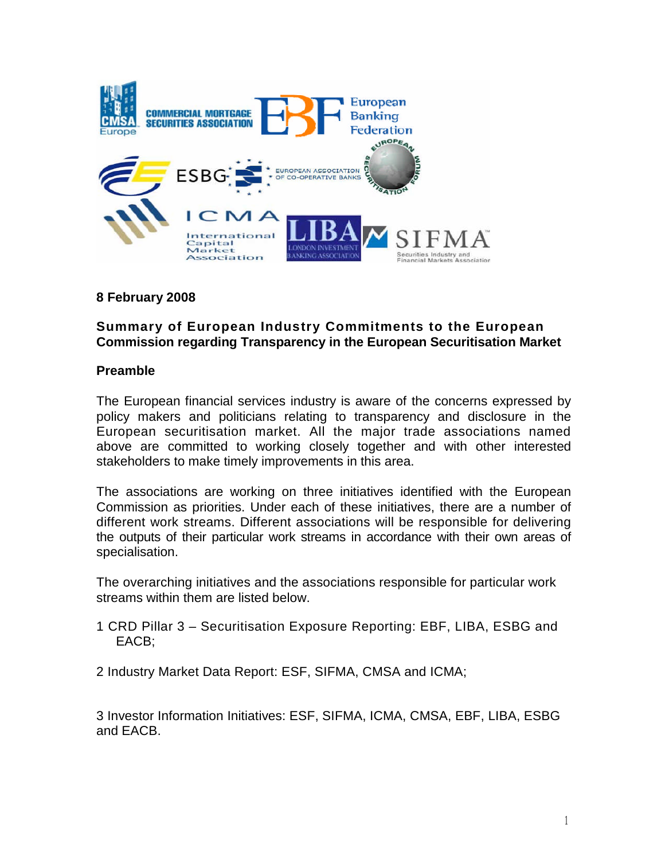

## **8 February 2008**

## **Summary of European Industry Commitments to the European Commission regarding Transparency in the European Securitisation Market**

#### **Preamble**

The European financial services industry is aware of the concerns expressed by policy makers and politicians relating to transparency and disclosure in the European securitisation market. All the major trade associations named above are committed to working closely together and with other interested stakeholders to make timely improvements in this area.

The associations are working on three initiatives identified with the European Commission as priorities. Under each of these initiatives, there are a number of different work streams. Different associations will be responsible for delivering the outputs of their particular work streams in accordance with their own areas of specialisation.

The overarching initiatives and the associations responsible for particular work streams within them are listed below.

1 CRD Pillar 3 – Securitisation Exposure Reporting: EBF, LIBA, ESBG and EACB;

2 Industry Market Data Report: ESF, SIFMA, CMSA and ICMA;

3 Investor Information Initiatives: ESF, SIFMA, ICMA, CMSA, EBF, LIBA, ESBG and EACB.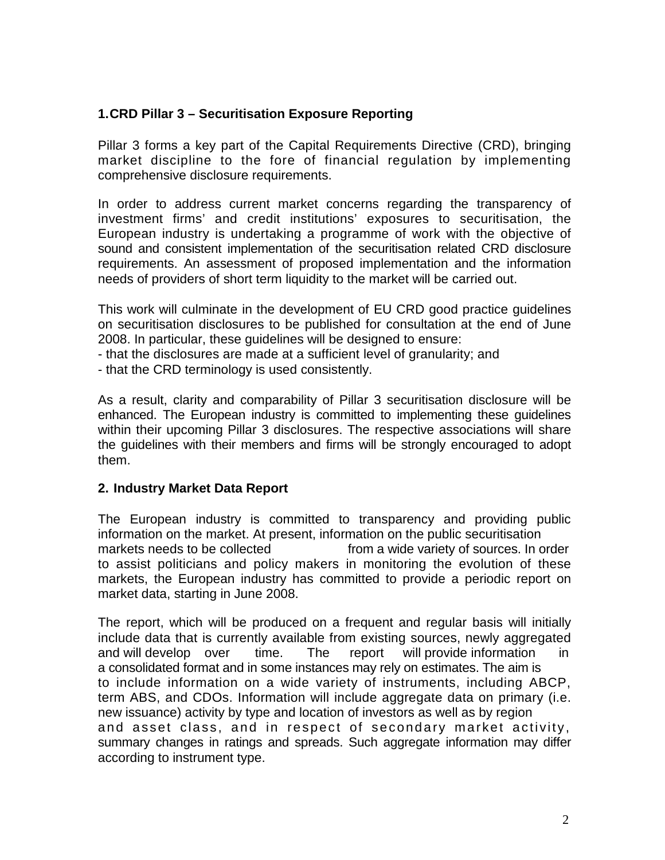# **1.CRD Pillar 3 – Securitisation Exposure Reporting**

Pillar 3 forms a key part of the Capital Requirements Directive (CRD), bringing market discipline to the fore of financial regulation by implementing comprehensive disclosure requirements.

In order to address current market concerns regarding the transparency of investment firms' and credit institutions' exposures to securitisation, the European industry is undertaking a programme of work with the objective of sound and consistent implementation of the securitisation related CRD disclosure requirements. An assessment of proposed implementation and the information needs of providers of short term liquidity to the market will be carried out.

This work will culminate in the development of EU CRD good practice guidelines on securitisation disclosures to be published for consultation at the end of June 2008. In particular, these guidelines will be designed to ensure:

- that the disclosures are made at a sufficient level of granularity; and
- that the CRD terminology is used consistently.

As a result, clarity and comparability of Pillar 3 securitisation disclosure will be enhanced. The European industry is committed to implementing these guidelines within their upcoming Pillar 3 disclosures. The respective associations will share the guidelines with their members and firms will be strongly encouraged to adopt them.

## **2. Industry Market Data Report**

The European industry is committed to transparency and providing public information on the market. At present, information on the public securitisation markets needs to be collected from a wide variety of sources. In order to assist politicians and policy makers in monitoring the evolution of these markets, the European industry has committed to provide a periodic report on market data, starting in June 2008.

The report, which will be produced on a frequent and regular basis will initially include data that is currently available from existing sources, newly aggregated and will develop over time. The report will provide information in a consolidated format and in some instances may rely on estimates. The aim is to include information on a wide variety of instruments, including ABCP, term ABS, and CDOs. Information will include aggregate data on primary (i.e. new issuance) activity by type and location of investors as well as by region and asset class, and in respect of secondary market activity, summary changes in ratings and spreads. Such aggregate information may differ according to instrument type.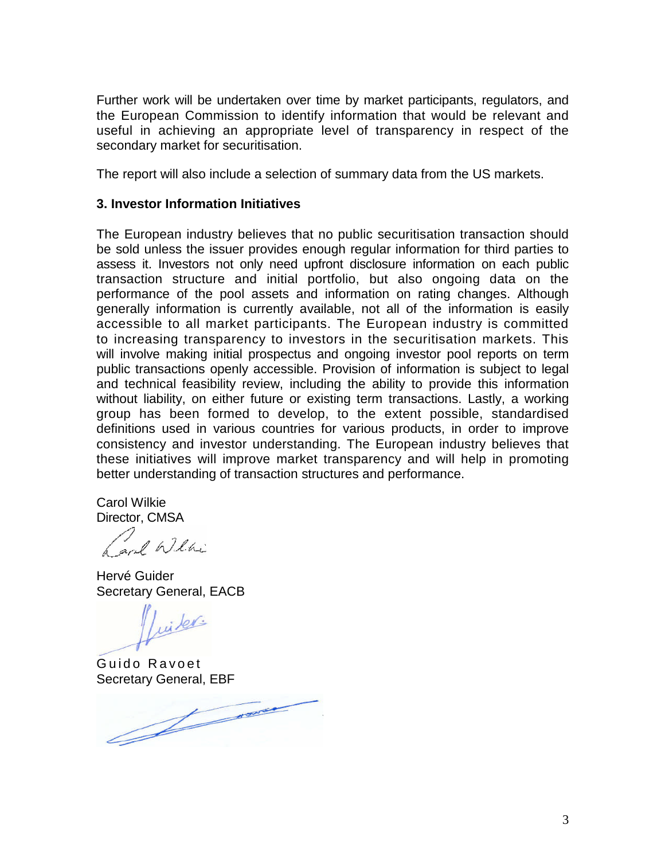Further work will be undertaken over time by market participants, regulators, and the European Commission to identify information that would be relevant and useful in achieving an appropriate level of transparency in respect of the secondary market for securitisation.

The report will also include a selection of summary data from the US markets.

### **3. Investor Information Initiatives**

The European industry believes that no public securitisation transaction should be sold unless the issuer provides enough regular information for third parties to assess it. Investors not only need upfront disclosure information on each public transaction structure and initial portfolio, but also ongoing data on the performance of the pool assets and information on rating changes. Although generally information is currently available, not all of the information is easily accessible to all market participants. The European industry is committed to increasing transparency to investors in the securitisation markets. This will involve making initial prospectus and ongoing investor pool reports on term public transactions openly accessible. Provision of information is subject to legal and technical feasibility review, including the ability to provide this information without liability, on either future or existing term transactions. Lastly, a working group has been formed to develop, to the extent possible, standardised definitions used in various countries for various products, in order to improve consistency and investor understanding. The European industry believes that these initiatives will improve market transparency and will help in promoting better understanding of transaction structures and performance.

Carol Wilkie Director, CMSA

ach Willie

Hervé Guider Secretary General, EACB

Luiter

Guido Ravoet

Secretary General, EBF